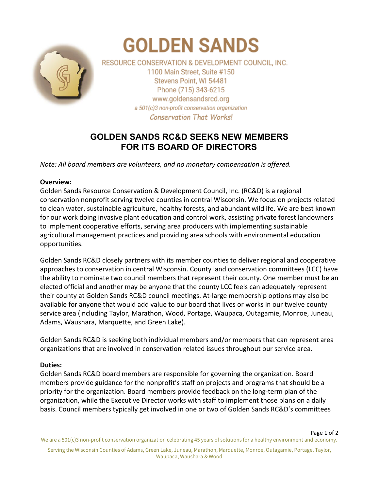

# **GOLDEN SANDS**

RESOURCE CONSERVATION & DEVELOPMENT COUNCIL, INC. 1100 Main Street, Suite #150 Stevens Point, WI 54481 Phone (715) 343-6215 www.goldensandsrcd.org a 501(c)3 non-profit conservation organization **Conservation That Works!** 

# **GOLDEN SANDS RC&D SEEKS NEW MEMBERS FOR ITS BOARD OF DIRECTORS**

*Note: All board members are volunteers, and no monetary compensation is offered.*

### **Overview:**

Golden Sands Resource Conservation & Development Council, Inc. (RC&D) is a regional conservation nonprofit serving twelve counties in central Wisconsin. We focus on projects related to clean water, sustainable agriculture, healthy forests, and abundant wildlife. We are best known for our work doing invasive plant education and control work, assisting private forest landowners to implement cooperative efforts, serving area producers with implementing sustainable agricultural management practices and providing area schools with environmental education opportunities.

Golden Sands RC&D closely partners with its member counties to deliver regional and cooperative approaches to conservation in central Wisconsin. County land conservation committees (LCC) have the ability to nominate two council members that represent their county. One member must be an elected official and another may be anyone that the county LCC feels can adequately represent their county at Golden Sands RC&D council meetings. At-large membership options may also be available for anyone that would add value to our board that lives or works in our twelve county service area (including Taylor, Marathon, Wood, Portage, Waupaca, Outagamie, Monroe, Juneau, Adams, Waushara, Marquette, and Green Lake).

Golden Sands RC&D is seeking both individual members and/or members that can represent area organizations that are involved in conservation related issues throughout our service area.

## **Duties:**

Golden Sands RC&D board members are responsible for governing the organization. Board members provide guidance for the nonprofit's staff on projects and programs that should be a priority for the organization. Board members provide feedback on the long-term plan of the organization, while the Executive Director works with staff to implement those plans on a daily basis. Council members typically get involved in one or two of Golden Sands RC&D's committees

Page 1 of 2 We are a 501(c)3 non-profit conservation organization celebrating 45 years of solutions for a healthy environment and economy.

Serving the Wisconsin Counties of Adams, Green Lake, Juneau, Marathon, Marquette, Monroe, Outagamie, Portage, Taylor, Waupaca, Waushara & Wood